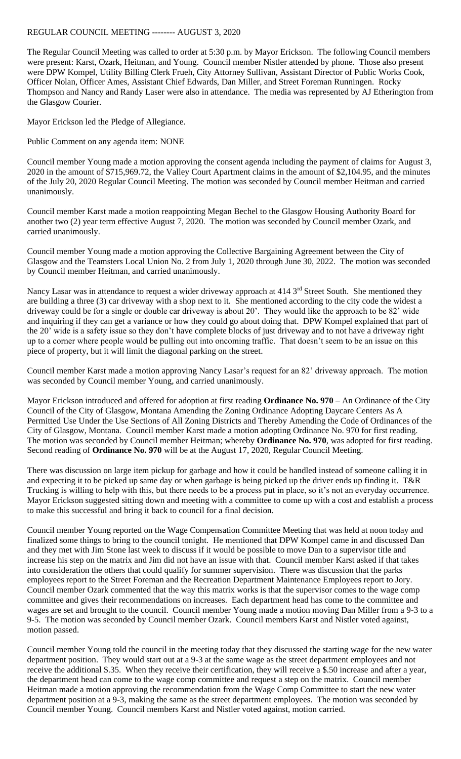## REGULAR COUNCIL MEETING -------- AUGUST 3, 2020

The Regular Council Meeting was called to order at 5:30 p.m. by Mayor Erickson. The following Council members were present: Karst, Ozark, Heitman, and Young. Council member Nistler attended by phone. Those also present were DPW Kompel, Utility Billing Clerk Frueh, City Attorney Sullivan, Assistant Director of Public Works Cook, Officer Nolan, Officer Ames, Assistant Chief Edwards, Dan Miller, and Street Foreman Runningen. Rocky Thompson and Nancy and Randy Laser were also in attendance. The media was represented by AJ Etherington from the Glasgow Courier.

Mayor Erickson led the Pledge of Allegiance.

Public Comment on any agenda item: NONE

Council member Young made a motion approving the consent agenda including the payment of claims for August 3, 2020 in the amount of \$715,969.72, the Valley Court Apartment claims in the amount of \$2,104.95, and the minutes of the July 20, 2020 Regular Council Meeting. The motion was seconded by Council member Heitman and carried unanimously.

Council member Karst made a motion reappointing Megan Bechel to the Glasgow Housing Authority Board for another two (2) year term effective August 7, 2020. The motion was seconded by Council member Ozark, and carried unanimously.

Council member Young made a motion approving the Collective Bargaining Agreement between the City of Glasgow and the Teamsters Local Union No. 2 from July 1, 2020 through June 30, 2022. The motion was seconded by Council member Heitman, and carried unanimously.

Nancy Lasar was in attendance to request a wider driveway approach at 414 3<sup>rd</sup> Street South. She mentioned they are building a three (3) car driveway with a shop next to it. She mentioned according to the city code the widest a driveway could be for a single or double car driveway is about 20'. They would like the approach to be 82' wide and inquiring if they can get a variance or how they could go about doing that. DPW Kompel explained that part of the 20' wide is a safety issue so they don't have complete blocks of just driveway and to not have a driveway right up to a corner where people would be pulling out into oncoming traffic. That doesn't seem to be an issue on this piece of property, but it will limit the diagonal parking on the street.

Council member Karst made a motion approving Nancy Lasar's request for an 82' driveway approach. The motion was seconded by Council member Young, and carried unanimously.

Mayor Erickson introduced and offered for adoption at first reading **Ordinance No. 970** – An Ordinance of the City Council of the City of Glasgow, Montana Amending the Zoning Ordinance Adopting Daycare Centers As A Permitted Use Under the Use Sections of All Zoning Districts and Thereby Amending the Code of Ordinances of the City of Glasgow, Montana. Council member Karst made a motion adopting Ordinance No. 970 for first reading. The motion was seconded by Council member Heitman; whereby **Ordinance No. 970**, was adopted for first reading. Second reading of **Ordinance No. 970** will be at the August 17, 2020, Regular Council Meeting.

There was discussion on large item pickup for garbage and how it could be handled instead of someone calling it in and expecting it to be picked up same day or when garbage is being picked up the driver ends up finding it. T&R Trucking is willing to help with this, but there needs to be a process put in place, so it's not an everyday occurrence. Mayor Erickson suggested sitting down and meeting with a committee to come up with a cost and establish a process to make this successful and bring it back to council for a final decision.

Council member Young reported on the Wage Compensation Committee Meeting that was held at noon today and finalized some things to bring to the council tonight. He mentioned that DPW Kompel came in and discussed Dan and they met with Jim Stone last week to discuss if it would be possible to move Dan to a supervisor title and increase his step on the matrix and Jim did not have an issue with that. Council member Karst asked if that takes into consideration the others that could qualify for summer supervision. There was discussion that the parks employees report to the Street Foreman and the Recreation Department Maintenance Employees report to Jory. Council member Ozark commented that the way this matrix works is that the supervisor comes to the wage comp committee and gives their recommendations on increases. Each department head has come to the committee and wages are set and brought to the council. Council member Young made a motion moving Dan Miller from a 9-3 to a 9-5. The motion was seconded by Council member Ozark. Council members Karst and Nistler voted against, motion passed.

Council member Young told the council in the meeting today that they discussed the starting wage for the new water department position. They would start out at a 9-3 at the same wage as the street department employees and not receive the additional \$.35. When they receive their certification, they will receive a \$.50 increase and after a year, the department head can come to the wage comp committee and request a step on the matrix. Council member Heitman made a motion approving the recommendation from the Wage Comp Committee to start the new water department position at a 9-3, making the same as the street department employees. The motion was seconded by Council member Young. Council members Karst and Nistler voted against, motion carried.